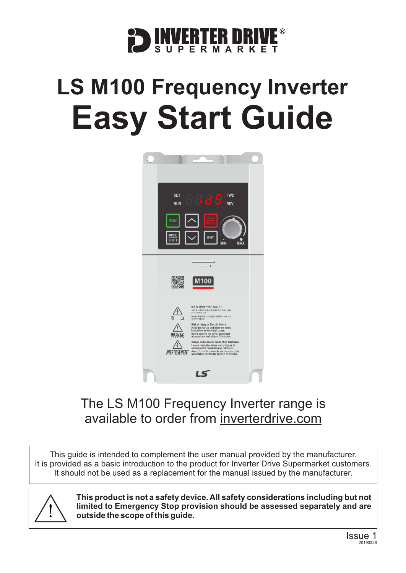

# **LS M100 Frequency Inverter Easy Start Guide**



### The LS M100 Frequency Inverter range is available to order from [inverterdrive.com](https://inverterdrive.com/m/LS/M100/)

This guide is intended to complement the user manual provided by the manufacturer. It is provided as a basic introduction to the product for Inverter Drive Supermarket customers. It should not be used as a replacement for the manual issued by the manufacturer.



**This product is not a safety device. All safety considerations including but not limited to Emergency Stop provision should be assessed separately and are outside the scope of this guide.**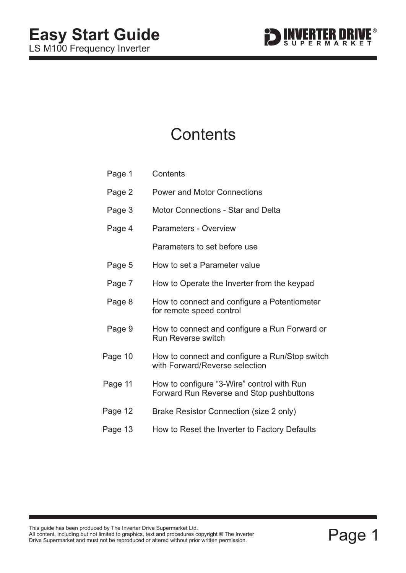

# **Contents**

| Page 1  | Contents                                                                               |
|---------|----------------------------------------------------------------------------------------|
| Page 2  | <b>Power and Motor Connections</b>                                                     |
| Page 3  | <b>Motor Connections - Star and Delta</b>                                              |
| Page 4  | <b>Parameters - Overview</b>                                                           |
|         | Parameters to set before use                                                           |
| Page 5  | How to set a Parameter value                                                           |
| Page 7  | How to Operate the Inverter from the keypad                                            |
| Page 8  | How to connect and configure a Potentiometer<br>for remote speed control               |
| Page 9  | How to connect and configure a Run Forward or<br><b>Run Reverse switch</b>             |
| Page 10 | How to connect and configure a Run/Stop switch<br>with Forward/Reverse selection       |
| Page 11 | How to configure "3-Wire" control with Run<br>Forward Run Reverse and Stop pushbuttons |
| Page 12 | Brake Resistor Connection (size 2 only)                                                |
| Page 13 | How to Reset the Inverter to Factory Defaults                                          |

This guide has been produced by The Inverter Drive Supermarket Ltd.<br>All content, including but not limited to graphics, text and procedures copyright © The Inverter<br>Drive Supermarket and must not be reproduced or altered w All content, including but not limited to graphics, text and procedures copyright © The Inverter Drive Supermarket and must not be reproduced or altered without prior written permission. **©**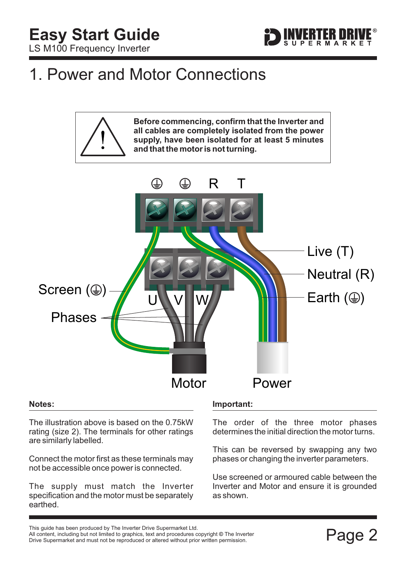

# <span id="page-2-0"></span>1. Power and Motor Connections



#### **Notes:**

The illustration above is based on the 0.75kW rating (size 2). The terminals for other ratings are similarly labelled.

Connect the motor first as these terminals may not be accessible once power is connected.

The supply must match the Inverter specification and the motor must be separately earthed.

### **Important:**

The order of the three motor phases determines the initial direction the motor turns.

This can be reversed by swapping any two phases or changing the inverter parameters.

Use screened or armoured cable between the Inverter and Motor and ensure it is grounded as shown.

This guide has been produced by The Inverter Drive Supermarket Ltd.<br>All content, including but not limited to graphics, text and procedures copyright © The Inverter<br>Drive Supermarket and must not be reproduced or altered w All content, including but not limited to graphics, text and procedures copyright © The Inverter Drive Supermarket and must not be reproduced or altered without prior written permission.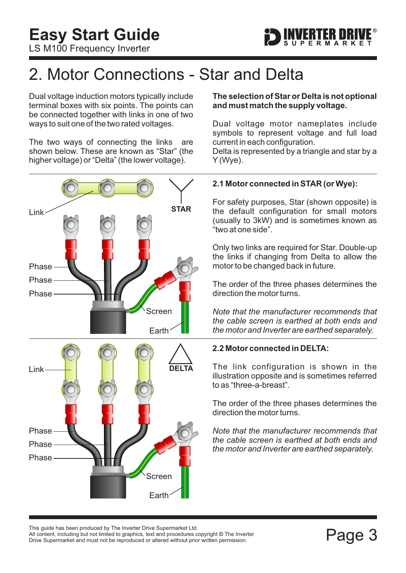

# <span id="page-3-0"></span>2. Motor Connections - Star and Delta

Dual voltage induction motors typically include terminal boxes with six points. The points can be connected together with links in one of two ways to suit one of the two rated voltages.

The two ways of connecting the links are shown below. These are known as "Star" (the higher voltage) or "Delta" (the lower voltage).



### **The selection of Star or Delta is not optional and must match the supply voltage.**

Dual voltage motor nameplates include symbols to represent voltage and full load current in each configuration.

Delta is represented by a triangle and star by a Y (Wye).

### **2.1 Motor connected in STAR (or Wye):**

For safety purposes, Star (shown opposite) is the default configuration for small motors (usually to 3kW) and is sometimes known as "two at one side".

Only two links are required for Star. Double-up the links if changing from Delta to allow the motor to be changed back in future.

The order of the three phases determines the direction the motor turns.

*Note that the manufacturer recommends that the cable screen is earthed at both ends and the motor and Inverter are earthed separately.*

### **2.2 Motor connected in DELTA:**

The link configuration is shown in the illustration opposite and is sometimes referred to as "three-a-breast".

The order of the three phases determines the direction the motor turns.

*Note that the manufacturer recommends that the cable screen is earthed at both ends and the motor and Inverter are earthed separately.*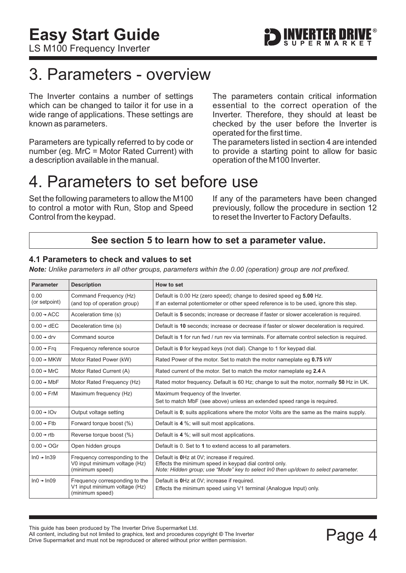# <span id="page-4-0"></span>3. Parameters - overview

The Inverter contains a number of settings which can be changed to tailor it for use in a wide range of applications. These settings are known as parameters.

Parameters are typically referred to by code or number (eg. MrC = Motor Rated Current) with a description available in the manual.

The parameters contain critical information essential to the correct operation of the Inverter. Therefore, they should at least be checked by the user before the Inverter is operated for the first time.

The parameters listed in section 4 are intended to provide a starting point to allow for basic operation of the M100 Inverter.

# 4. Parameters to set before use

Set the following parameters to allow the M100 to control a motor with Run, Stop and Speed Control from the keypad.

If any of the parameters have been changed previously, follow the procedure in [section 12](#page-13-0) to reset the Inverter to Factory Defaults.

### **See [section 5](#page-5-0) to learn how to set a parameter value.**

### **4.1 Parameters to check and values to set**

*Note: Unlike parameters in all other groups, parameters within the 0.00 (operation) group are not prefixed.*

| <b>Parameter</b>       | <b>Description</b>                                                                 | How to set                                                                                                                                                                                  |
|------------------------|------------------------------------------------------------------------------------|---------------------------------------------------------------------------------------------------------------------------------------------------------------------------------------------|
| 0.00<br>(or setpoint)  | Command Frequency (Hz)<br>(and top of operation group)                             | Default is 0.00 Hz (zero speed); change to desired speed eg 5.00 Hz.<br>If an external potentiometer or other speed reference is to be used, ignore this step.                              |
| $0.00 \rightarrow ACC$ | Acceleration time (s)                                                              | Default is 5 seconds; increase or decrease if faster or slower acceleration is required.                                                                                                    |
| $0.00 \div$ dEC        | Deceleration time (s)                                                              | Default is 10 seconds; increase or decrease if faster or slower deceleration is required.                                                                                                   |
| $0.00 \rightarrow$ drv | Command source                                                                     | Default is 1 for run fwd / run rev via terminals. For alternate control selection is required.                                                                                              |
| $0.00 \rightarrow Frq$ | Frequency reference source                                                         | Default is 0 for keypad keys (not dial). Change to 1 for keypad dial.                                                                                                                       |
| $0.00 \rightarrow MKW$ | Motor Rated Power (kW)                                                             | Rated Power of the motor. Set to match the motor nameplate eg 0.75 kW                                                                                                                       |
| $0.00 \div MrC$        | Motor Rated Current (A)                                                            | Rated current of the motor. Set to match the motor nameplate eq 2.4 A                                                                                                                       |
| $0.00 \rightarrow MbF$ | Motor Rated Frequency (Hz)                                                         | Rated motor frequency. Default is 60 Hz; change to suit the motor, normally 50 Hz in UK.                                                                                                    |
| $0.00 \rightarrow$ FrM | Maximum frequency (Hz)                                                             | Maximum frequency of the Inverter.<br>Set to match MbF (see above) unless an extended speed range is required.                                                                              |
| $0.00 \div 10v$        | Output voltage setting                                                             | Default is $\mathbf{0}$ ; suits applications where the motor Volts are the same as the mains supply.                                                                                        |
| $0.00 \rightarrow$ Ftb | Forward torque boost (%)                                                           | Default is 4 %; will suit most applications.                                                                                                                                                |
| $0.00 \rightarrow$ rtb | Reverse torque boost (%)                                                           | Default is 4 %; will suit most applications.                                                                                                                                                |
| $0.00 \rightarrow OGr$ | Open hidden groups                                                                 | Default is 0. Set to 1 to extend access to all parameters.                                                                                                                                  |
| $ln0 + ln39$           | Frequency corresponding to the<br>V0 input minimum voltage (Hz)<br>(minimum speed) | Default is OHz at OV; increase if required.<br>Effects the minimum speed in keypad dial control only.<br>Note: Hidden group; use "Mode" key to select In0 then up/down to select parameter. |
| $In0 + In09$           | Frequency corresponding to the<br>V1 input minimum voltage (Hz)<br>(minimum speed) | Default is OHz at OV; increase if required.<br>Effects the minimum speed using V1 terminal (Analogue Input) only.                                                                           |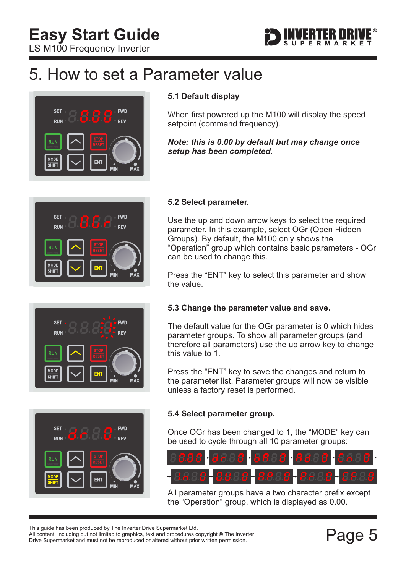

# <span id="page-5-0"></span>5. How to set a Parameter value



### **5.1 Default display**

When first powered up the M100 will display the speed setpoint (command frequency).

### *Note: this is 0.00 by default but may change once setup has been completed.*



### **FWD SET REV** RUN **MODE** FM1  $\overline{\overline{\text{SHIF}}}$



### **5.2 Select parameter.**

Use the up and down arrow keys to select the required parameter. In this example, select OGr (Open Hidden Groups). By default, the M100 only shows the "Operation" group which contains basic parameters - OGr can be used to change this.

Press the "ENT" key to select this parameter and show the value.

### **5.3 Change the parameter value and save.**

The default value for the OGr parameter is 0 which hides parameter groups. To show all parameter groups (and therefore all parameters) use the up arrow key to change this value to 1.

Press the "ENT" key to save the changes and return to the parameter list. Parameter groups will now be visible unless a factory reset is performed.

### **5.4 Select parameter group.**

Once OGr has been changed to 1, the "MODE" key can be used to cycle through all 10 parameter groups:



All parameter groups have a two character prefix except the "Operation" group, which is displayed as 0.00.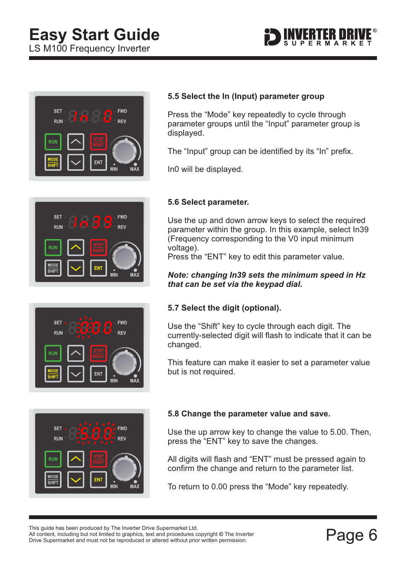# **Easy Start Guide**

LS M100 Frequency Inverter





### **SET FWD** RUN **RFV** RUN



## **SET FWD RUN REV SHIFT**

### **5.5 Select the In (Input) parameter group**

Press the "Mode" key repeatedly to cycle through parameter groups until the "Input" parameter group is displayed.

The "Input" group can be identified by its "In" prefix.

In0 will be displayed.

### **5.6 Select parameter.**

Use the up and down arrow keys to select the required parameter within the group. In this example, select In39 (Frequency corresponding to the V0 input minimum voltage).

Press the "ENT" key to edit this parameter value.

### *Note: changing In39 sets the minimum speed in Hz that can be set via the keypad dial.*

### **5.7 Select the digit (optional).**

Use the "Shift" key to cycle through each digit. The currently-selected digit will flash to indicate that it can be changed.

This feature can make it easier to set a parameter value but is not required.

### **5.8 Change the parameter value and save.**

Use the up arrow key to change the value to 5.00. Then, press the "ENT" key to save the changes.

All digits will flash and "ENT" must be pressed again to confirm the change and return to the parameter list.

To return to 0.00 press the "Mode" key repeatedly.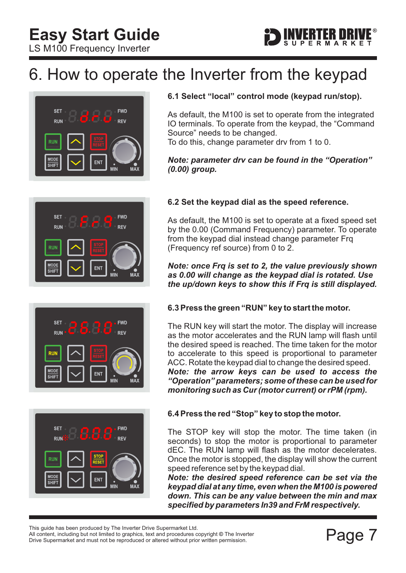# ERTER DRI

# <span id="page-7-0"></span>6. How to operate the Inverter from the keypad









### **6.1 Select "local" control mode (keypad run/stop).**

As default, the M100 is set to operate from the integrated IO terminals. To operate from the keypad, the "Command Source" needs to be changed.

To do this, change parameter drv from 1 to 0.

### *Note: parameter drv can be found in the "Operation" (0.00) group.*

### **6.2 Set the keypad dial as the speed reference.**

As default, the M100 is set to operate at a fixed speed set by the 0.00 (Command Frequency) parameter. To operate from the keypad dial instead change parameter Frq (Frequency ref source) from 0 to 2.

### *Note: once Frq is set to 2, the value previously shown as 0.00 will change as the keypad dial is rotated. Use the up/down keys to show this if Frq is still displayed.*

### **6.3 Press the green "RUN" key to start the motor.**

The RUN key will start the motor. The display will increase as the motor accelerates and the RUN lamp will flash until the desired speed is reached. The time taken for the motor to accelerate to this speed is proportional to parameter ACC. Rotate the keypad dial to change the desired speed. *Note: the arrow keys can be used to access the "Operation" parameters; some of these can be used for monitoring such as Cur (motor current) or rPM (rpm).*

### **6.4 Press the red "Stop" key to stop the motor.**

The STOP key will stop the motor. The time taken (in seconds) to stop the motor is proportional to parameter dEC. The RUN lamp will flash as the motor decelerates. Once the motor is stopped, the display will show the current speed reference set by the keypad dial.

*Note: the desired speed reference can be set via the keypad dial at any time, even when the M100 is powered down. This can be any value between the min and max specified by parameters In39 and FrM respectively.*

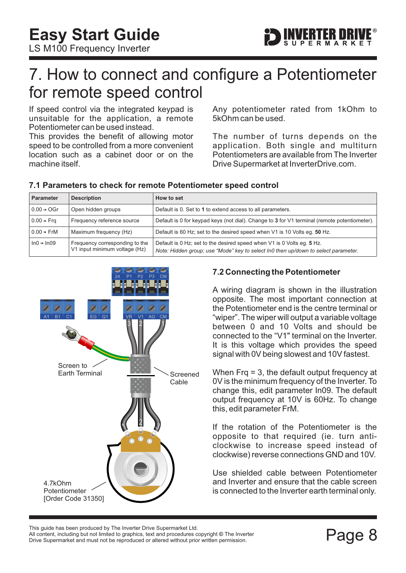<span id="page-8-0"></span>**Easy Start Guide**

LS M100 Frequency Inverter



# 7. How to connect and configure a Potentiometer for remote speed control

If speed control via the integrated keypad is unsuitable for the application, a remote Potentiometer can be used instead.

This provides the benefit of allowing motor speed to be controlled from a more convenient location such as a cabinet door or on the machine itself.

**7.1 Parameters to check for remote Potentiometer speed control**

Any potentiometer rated from 1kOhm to 5kOhm can be used.

The number of turns depends on the application. Both single and multiturn Potentiometers are available from The Inverter Drive Supermarket at InverterDrive.com.

| <b>Parameter</b>       | <b>Description</b>                                              | How to set                                                                                                                                                   |
|------------------------|-----------------------------------------------------------------|--------------------------------------------------------------------------------------------------------------------------------------------------------------|
| $0.00 \rightarrow$ OGr | Open hidden groups                                              | Default is 0. Set to 1 to extend access to all parameters.                                                                                                   |
| $0.00 \rightarrow Frq$ | Frequency reference source                                      | Default is 0 for keypad keys (not dial). Change to 3 for V1 terminal (remote potentiometer).                                                                 |
| $0.00 \rightarrow$ FrM | Maximum frequency (Hz)                                          | Default is 60 Hz; set to the desired speed when V1 is 10 Volts eq. 50 Hz.                                                                                    |
| $ln0 \div ln09$        | Frequency corresponding to the<br>V1 input minimum voltage (Hz) | Default is 0 Hz; set to the desired speed when V1 is 0 Volts eq. 5 Hz.<br>Note: Hidden group; use "Mode" key to select In0 then up/down to select parameter. |



### **7.2 Connecting the Potentiometer**

A wiring diagram is shown in the illustration opposite. The most important connection at the Potentiometer end is the centre terminal or "wiper". The wiper will output a variable voltage between 0 and 10 Volts and should be connected to the "V1" terminal on the Inverter. It is this voltage which provides the speed signal with 0V being slowest and 10V fastest.

When Frq = 3, the default output frequency at 0V is the minimum frequency of the Inverter. To change this, edit parameter In09. The default output frequency at 10V is 60Hz. To change this, edit parameter FrM.

If the rotation of the Potentiometer is the opposite to that required (ie. turn anticlockwise to increase speed instead of clockwise) reverse connections GND and 10V.

Use shielded cable between Potentiometer and Inverter and ensure that the cable screen is connected to the Inverter earth terminal only.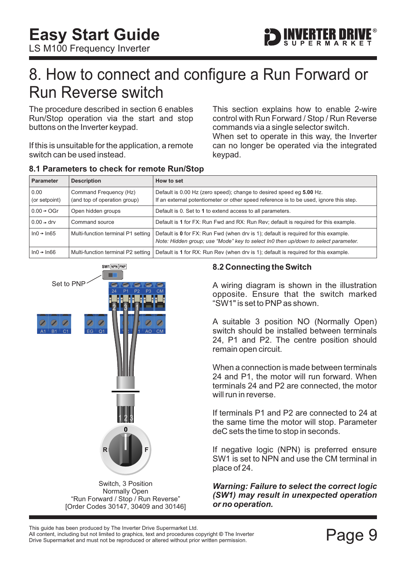# <span id="page-9-0"></span>8. How to connect and configure a Run Forward or Run Reverse switch

The procedure described in [section 6](#page-7-0) enables Run/Stop operation via the start and stop buttons on the Inverter keypad.

If this is unsuitable for the application, a remote switch can be used instead.

This section explains how to enable 2-wire control with Run Forward / Stop / Run Reverse commands via a single selector switch.

When set to operate in this way, the Inverter can no longer be operated via the integrated keypad.

| <b>Parameter</b>         | <b>Description</b>                                     | How to set                                                                                                                                                                |
|--------------------------|--------------------------------------------------------|---------------------------------------------------------------------------------------------------------------------------------------------------------------------------|
| 0.00<br>(or setpoint)    | Command Frequency (Hz)<br>(and top of operation group) | Default is 0.00 Hz (zero speed); change to desired speed eg 5.00 Hz.<br>If an external potentiometer or other speed reference is to be used, ignore this step.            |
| $0.00 \rightarrow OGr$   | Open hidden groups                                     | Default is 0. Set to 1 to extend access to all parameters.                                                                                                                |
| $0.00 \div$ drv          | Command source                                         | Default is 1 for FX: Run Fwd and RX: Run Rev; default is required for this example.                                                                                       |
| $ln 0 \rightarrow ln 65$ | Multi-function terminal P1 setting                     | Default is 0 for FX: Run Fwd (when drv is 1); default is required for this example.<br>Note: Hidden group; use "Mode" key to select In0 then up/down to select parameter. |
| $ln0 + ln66$             | Multi-function terminal P2 setting                     | Default is 1 for RX: Run Rev (when drv is 1); default is required for this example.                                                                                       |





Normally Open "Run Forward / Stop / Run Reverse" [Order Codes 30147, 30409 and 30146]

### **8.2 Connecting the Switch**

A wiring diagram is shown in the illustration opposite. Ensure that the switch marked "SW1" is set to PNP as shown.

A suitable 3 position NO (Normally Open) switch should be installed between terminals 24, P1 and P2. The centre position should remain open circuit.

When a connection is made between terminals 24 and P1, the motor will run forward. When terminals 24 and P2 are connected, the motor will run in reverse.

If terminals P1 and P2 are connected to 24 at the same time the motor will stop. Parameter deC sets the time to stop in seconds.

If negative logic (NPN) is preferred ensure SW1 is set to NPN and use the CM terminal in place of 24.

*Warning: Failure to select the correct logic (SW1) may result in unexpected operation or no operation.*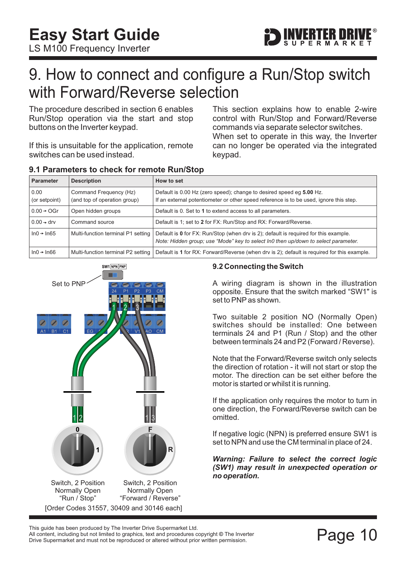

# <span id="page-10-0"></span>9. How to connect and configure a Run/Stop switch with Forward/Reverse selection

The procedure described in [section 6](#page-7-0) enables Run/Stop operation via the start and stop buttons on the Inverter keypad.

If this is unsuitable for the application, remote switches can be used instead.

When set to operate in this way, the Inverter can no longer be operated via the integrated keypad. This section explains how to enable 2-wire control with Run/Stop and Forward/Reverse commands via separate selector switches.

| <b>Parameter</b>       | <b>Description</b>                                     | How to set                                                                                                                                                                 |
|------------------------|--------------------------------------------------------|----------------------------------------------------------------------------------------------------------------------------------------------------------------------------|
| 0.00<br>(or setpoint)  | Command Frequency (Hz)<br>(and top of operation group) | Default is 0.00 Hz (zero speed); change to desired speed eg 5.00 Hz.<br>If an external potentiometer or other speed reference is to be used, ignore this step.             |
| $0.00 \rightarrow OGr$ | Open hidden groups                                     | Default is 0. Set to 1 to extend access to all parameters.                                                                                                                 |
| $0.00 \rightarrow$ drv | Command source                                         | Default is 1; set to 2 for FX: Run/Stop and RX: Forward/Reverse.                                                                                                           |
| $ln0 \rightarrow ln65$ | Multi-function terminal P1 setting                     | Default is 0 for FX: Run/Stop (when drv is 2); default is required for this example.<br>Note: Hidden group; use "Mode" key to select In0 then up/down to select parameter. |
| $ln0 + ln66$           | Multi-function terminal P2 setting                     | Default is 1 for RX: Forward/Reverse (when drv is 2); default is required for this example.                                                                                |





### **9.2 Connecting the Switch**

A wiring diagram is shown in the illustration opposite. Ensure that the switch marked "SW1" is set to PNP as shown.

Two suitable 2 position NO (Normally Open) switches should be installed: One between terminals 24 and P1 (Run / Stop) and the other between terminals 24 and P2 (Forward / Reverse).

Note that the Forward/Reverse switch only selects the direction of rotation - it will not start or stop the motor. The direction can be set either before the motor is started or whilst it is running.

If the application only requires the motor to turn in one direction, the Forward/Reverse switch can be omitted.

If negative logic (NPN) is preferred ensure SW1 is set to NPN and use the CM terminal in place of 24.

*Warning: Failure to select the correct logic (SW1) may result in unexpected operation or no operation.*

This guide has been produced by The Inverter Drive Supermarket Ltd.<br>All content, including but not limited to graphics, text and procedures copyright © The Inverter<br>Drive Supermarket and must not be reproduced or altered w All content, including but not limited to graphics, text and procedures copyright © The Inverter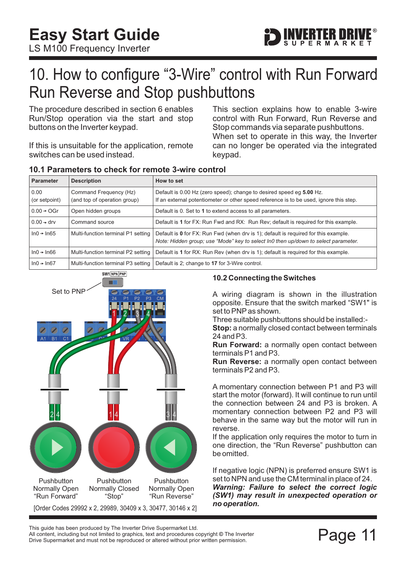

# <span id="page-11-0"></span>10. How to configure "3-Wire" control with Run Forward Run Reverse and Stop pushbuttons

The procedure described in [section 6](#page-7-0) enables Run/Stop operation via the start and stop buttons on the Inverter keypad.

If this is unsuitable for the application, remote switches can be used instead.

This section explains how to enable 3-wire control with Run Forward, Run Reverse and Stop commands via separate pushbuttons. When set to operate in this way, the Inverter can no longer be operated via the integrated keypad.

| <b>Parameter</b>         | <b>Description</b>                                     | How to set                                                                                                                                                                |
|--------------------------|--------------------------------------------------------|---------------------------------------------------------------------------------------------------------------------------------------------------------------------------|
| 0.00<br>(or setpoint)    | Command Frequency (Hz)<br>(and top of operation group) | Default is 0.00 Hz (zero speed); change to desired speed eg 5.00 Hz.<br>If an external potentiometer or other speed reference is to be used, ignore this step.            |
| $0.00 \div OGr$          | Open hidden groups                                     | Default is 0. Set to 1 to extend access to all parameters.                                                                                                                |
| $0.00 \div$ drv          | Command source                                         | Default is 1 for FX: Run Fwd and RX: Run Rev; default is required for this example.                                                                                       |
| $ln 0 \rightarrow ln 65$ | Multi-function terminal P1 setting                     | Default is 0 for FX: Run Fwd (when drv is 1); default is required for this example.<br>Note: Hidden group; use "Mode" key to select In0 then up/down to select parameter. |
| $ln0 \div ln66$          | Multi-function terminal P2 setting                     | Default is 1 for RX: Run Rev (when drv is 1); default is required for this example.                                                                                       |
| $ln0 \div ln67$          | Multi-function terminal P3 setting                     | Default is 2; change to 17 for 3-Wire control.                                                                                                                            |

### **10.1 Parameters to check for remote 3-wire control**



### **10.2 Connecting the Switches**

A wiring diagram is shown in the illustration opposite. Ensure that the switch marked "SW1" is set to PNP as shown.

Three suitable pushbuttons should be installed:-

**Stop:** a normally closed contact between terminals 24 and P3.

**Run Forward:** a normally open contact between terminals P1 and P3.

**Run Reverse:** a normally open contact between terminals P2 and P3.

A momentary connection between P1 and P3 will start the motor (forward). It will continue to run until the connection between 24 and P3 is broken. A momentary connection between P2 and P3 will behave in the same way but the motor will run in reverse.

If the application only requires the motor to turn in one direction, the "Run Reverse" pushbutton can be omitted.

If negative logic (NPN) is preferred ensure SW1 is set to NPN and use the CM terminal in place of 24. *Warning: Failure to select the correct logic (SW1) may result in unexpected operation or no operation.*

Filis guide rias been produced by The filverter Drive Supermarket Eta.<br>All content, including but not limited to graphics, text and procedures copyright © The Inverter<br>Drive Supermarket and must not be reproduced or altere Drive Supermarket and must not be reproduced or altered without prior written permission. This guide has been produced by The Inverter Drive Supermarket Ltd.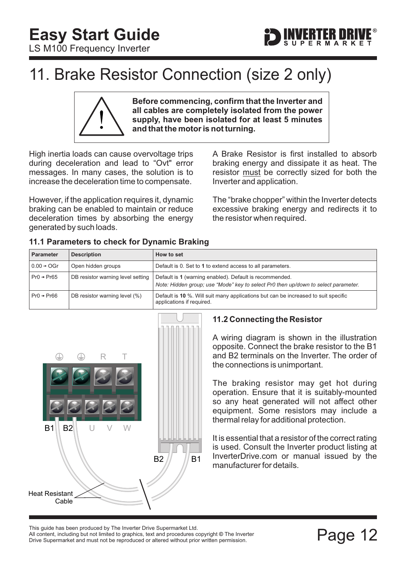<span id="page-12-0"></span>



# 11. Brake Resistor Connection (size 2 only)

**Before commencing, confirm that the Inverter and all cables are completely isolated from the power supply, have been isolated for at least 5 minutes and that the motor is not turning.**

High inertia loads can cause overvoltage trips during deceleration and lead to "Ovt" error messages. In many cases, the solution is to increase the deceleration time to compensate.

However, if the application requires it, dynamic braking can be enabled to maintain or reduce deceleration times by absorbing the energy generated by such loads.

A Brake Resistor is first installed to absorb braking energy and dissipate it as heat. The resistor must be correctly sized for both the Inverter and application.

The "brake chopper" within the Inverter detects excessive braking energy and redirects it to the resistor when required.

|  | 11.1 Parameters to check for Dynamic Braking |  |  |  |  |
|--|----------------------------------------------|--|--|--|--|
|--|----------------------------------------------|--|--|--|--|

| <b>Parameter</b>        | <b>Description</b>                | How to set                                                                                                                                    |
|-------------------------|-----------------------------------|-----------------------------------------------------------------------------------------------------------------------------------------------|
| $0.00 \rightarrow OGr$  | Open hidden groups                | Default is 0. Set to 1 to extend access to all parameters.                                                                                    |
| $Pr() \rightarrow Pr65$ | DB resistor warning level setting | Default is 1 (warning enabled). Default is recommended.<br>Note: Hidden group; use "Mode" key to select Pr0 then up/down to select parameter. |
| $Pr0 \rightarrow Pr66$  | DB resistor warning level (%)     | Default is 10 %. Will suit many applications but can be increased to suit specific<br>applications if required.                               |



### **11.2 Connecting the Resistor**

A wiring diagram is shown in the illustration opposite. Connect the brake resistor to the B1 and B2 terminals on the Inverter. The order of the connections is unimportant.

The braking resistor may get hot during operation. Ensure that it is suitably-mounted so any heat generated will not affect other equipment. Some resistors may include a thermal relay for additional protection.

It is essential that a resistor of the correct rating is used. Consult the Inverter product listing at InverterDrive.com or manual issued by the manufacturer for details.

This guide has been produced by The Inverter Drive Supermarket Ltd.<br>All content, including but not limited to graphics, text and procedures copyright © The Inverter<br>Drive Supermarket and must not be reproduced or altered w All content, including but not limited to graphics, text and procedures copyright © The Inverter Drive Supermarket and must not be reproduced or altered without prior written permission.